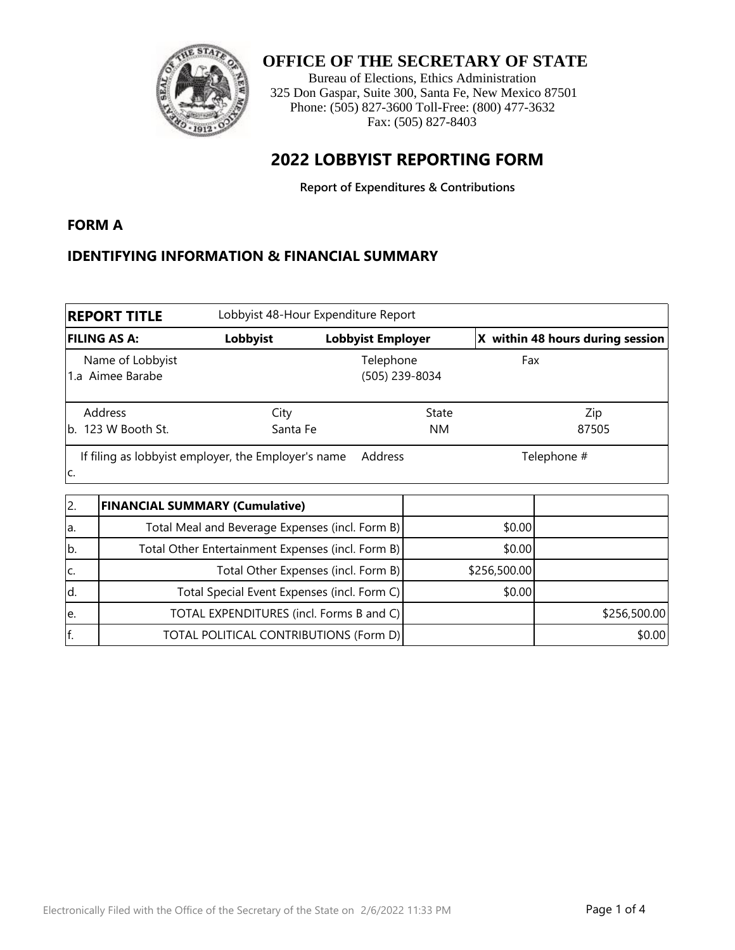

#### **OFFICE OF THE SECRETARY OF STATE**

Bureau of Elections, Ethics Administration 325 Don Gaspar, Suite 300, Santa Fe, New Mexico 87501 Phone: (505) 827-3600 Toll-Free: (800) 477-3632 Fax: (505) 827-8403

### **2022 LOBBYIST REPORTING FORM**

**Report of Expenditures & Contributions**

#### **FORM A**

#### **IDENTIFYING INFORMATION & FINANCIAL SUMMARY**

| Lobbyist 48-Hour Expenditure Report<br><b>REPORT TITLE</b> |                  |                             |                                  |  |
|------------------------------------------------------------|------------------|-----------------------------|----------------------------------|--|
| <b>FILING AS A:</b>                                        | Lobbyist         | <b>Lobbyist Employer</b>    | X within 48 hours during session |  |
| Name of Lobbyist<br>Aimee Barabe<br>1.a                    |                  | Telephone<br>(505) 239-8034 | Fax                              |  |
| Address<br>b. 123 W Booth St.                              | City<br>Santa Fe | State<br><b>NM</b>          | Zip<br>87505                     |  |
| If filing as lobbyist employer, the Employer's name<br>lc. |                  | Address                     | Telephone #                      |  |

| 12. | <b>FINANCIAL SUMMARY (Cumulative)</b>             |              |              |
|-----|---------------------------------------------------|--------------|--------------|
| la. | Total Meal and Beverage Expenses (incl. Form B)   | \$0.00]      |              |
| lb. | Total Other Entertainment Expenses (incl. Form B) | \$0.00       |              |
| lc. | Total Other Expenses (incl. Form B)               | \$256,500.00 |              |
| ld. | Total Special Event Expenses (incl. Form C)       | \$0.00]      |              |
| le. | TOTAL EXPENDITURES (incl. Forms B and C)          |              | \$256,500.00 |
| f.  | TOTAL POLITICAL CONTRIBUTIONS (Form D)            |              | \$0.00       |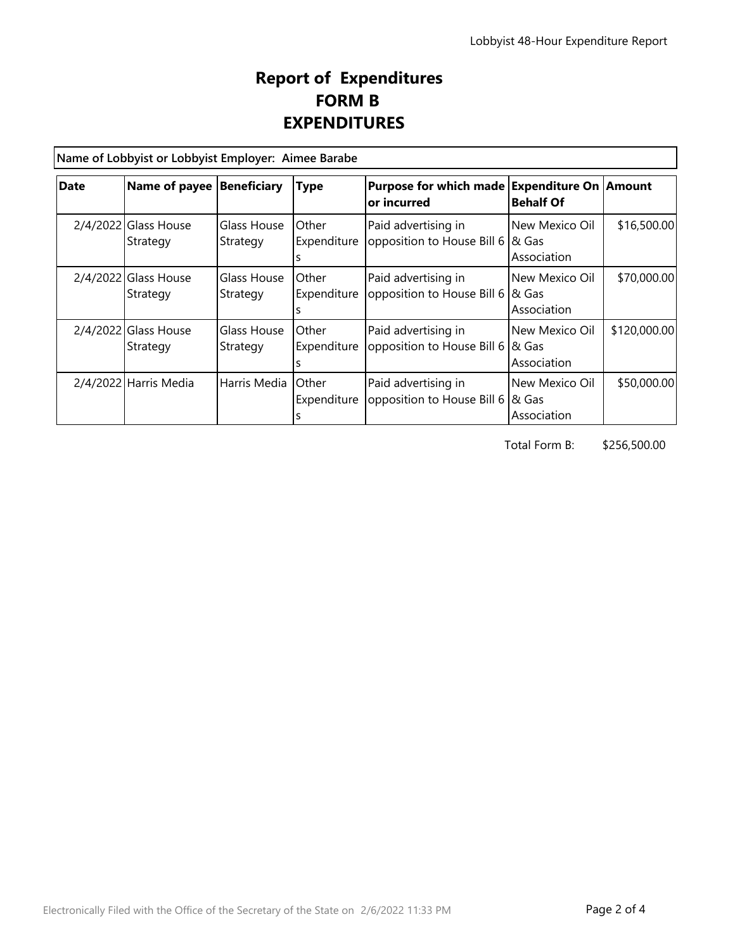## **Report of Expenditures FORM B EXPENDITURES**

**Name of Lobbyist or Lobbyist Employer: Aimee Barabe** 

| <b>Date</b> | Name of payee   Beneficiary        |                         | <b>Type</b>                  | Purpose for which made Expenditure On Amount<br>or incurred | <b>Behalf Of</b>                        |              |  |
|-------------|------------------------------------|-------------------------|------------------------------|-------------------------------------------------------------|-----------------------------------------|--------------|--|
|             | $2/4/2022$ Glass House<br>Strategy | Glass House<br>Strategy | Other<br>Expenditure         | Paid advertising in<br>opposition to House Bill 6           | New Mexico Oil<br>1& Gas<br>Association | \$16,500.00  |  |
|             | $2/4/2022$ Glass House<br>Strategy | Glass House<br>Strategy | <b>Other</b><br>Expenditure  | Paid advertising in<br>opposition to House Bill 6           | New Mexico Oil<br>1& Gas<br>Association | \$70,000.00  |  |
|             | 2/4/2022 Glass House<br>Strategy   | Glass House<br>Strategy | <b>Other</b><br>Expenditure  | Paid advertising in<br>opposition to House Bill 6           | New Mexico Oil<br>1& Gas<br>Association | \$120,000.00 |  |
|             | 2/4/2022 Harris Media              | Harris Media            | <b>O</b> ther<br>Expenditure | Paid advertising in<br>opposition to House Bill 6           | New Mexico Oil<br>8& Gas<br>Association | \$50,000.00  |  |

Total Form B: \$256,500.00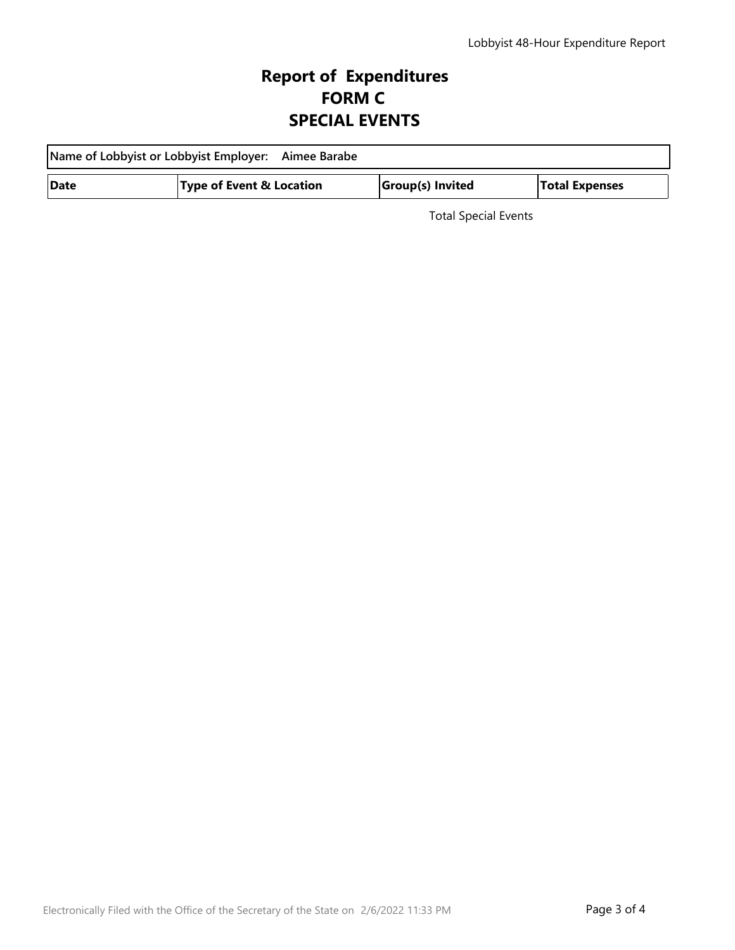# **Report of Expenditures FORM C SPECIAL EVENTS**

| Name of Lobbyist or Lobbyist Employer: Aimee Barabe |                                     |  |                  |                       |  |  |
|-----------------------------------------------------|-------------------------------------|--|------------------|-----------------------|--|--|
| Date                                                | <b>Type of Event &amp; Location</b> |  | Group(s) Invited | <b>Total Expenses</b> |  |  |

Total Special Events